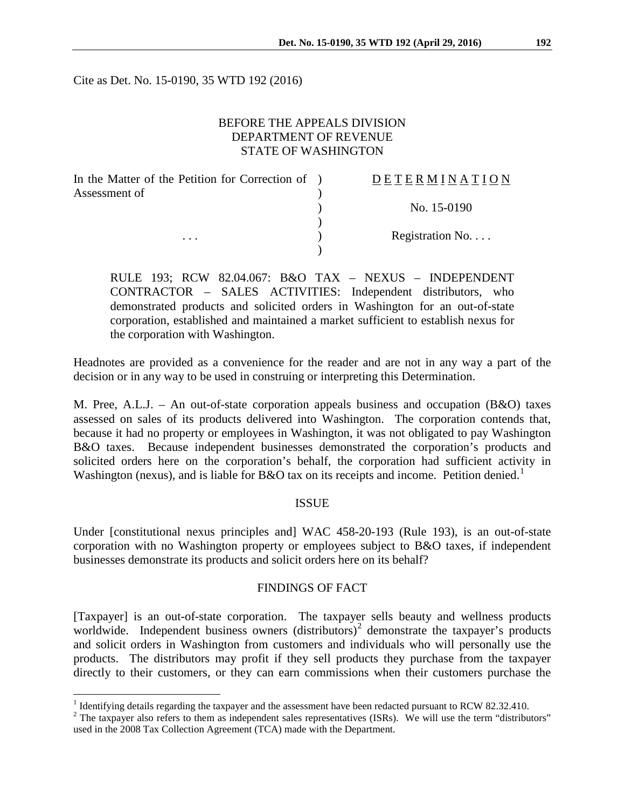Cite as Det. No. 15-0190, 35 WTD 192 (2016)

## BEFORE THE APPEALS DIVISION DEPARTMENT OF REVENUE STATE OF WASHINGTON

| In the Matter of the Petition for Correction of ) | DETERMINATION   |
|---------------------------------------------------|-----------------|
| Assessment of                                     |                 |
|                                                   | No. 15-0190     |
|                                                   |                 |
| $\cdots$                                          | Registration No |
|                                                   |                 |

RULE 193; RCW 82.04.067: B&O TAX – NEXUS – INDEPENDENT CONTRACTOR – SALES ACTIVITIES: Independent distributors, who demonstrated products and solicited orders in Washington for an out-of-state corporation, established and maintained a market sufficient to establish nexus for the corporation with Washington.

Headnotes are provided as a convenience for the reader and are not in any way a part of the decision or in any way to be used in construing or interpreting this Determination.

M. Pree, A.L.J. – An out-of-state corporation appeals business and occupation (B&O) taxes assessed on sales of its products delivered into Washington. The corporation contends that, because it had no property or employees in Washington, it was not obligated to pay Washington B&O taxes. Because independent businesses demonstrated the corporation's products and solicited orders here on the corporation's behalf, the corporation had sufficient activity in Washington (nexus), and is liable for B&O tax on its receipts and income. Petition denied.<sup>[1](#page-0-0)</sup>

#### ISSUE

Under [constitutional nexus principles and] WAC 458-20-193 (Rule 193), is an out-of-state corporation with no Washington property or employees subject to B&O taxes, if independent businesses demonstrate its products and solicit orders here on its behalf?

#### FINDINGS OF FACT

[Taxpayer] is an out-of-state corporation. The taxpayer sells beauty and wellness products worldwide. Independent business owners  $(distributors)^2$  $(distributors)^2$  demonstrate the taxpayer's products and solicit orders in Washington from customers and individuals who will personally use the products. The distributors may profit if they sell products they purchase from the taxpayer directly to their customers, or they can earn commissions when their customers purchase the

<sup>&</sup>lt;sup>1</sup> Identifying details regarding the taxpayer and the assessment have been redacted pursuant to RCW 82.32.410.

<span id="page-0-1"></span><span id="page-0-0"></span><sup>&</sup>lt;sup>2</sup> The taxpayer also refers to them as independent sales representatives (ISRs). We will use the term "distributors" used in the 2008 Tax Collection Agreement (TCA) made with the Department.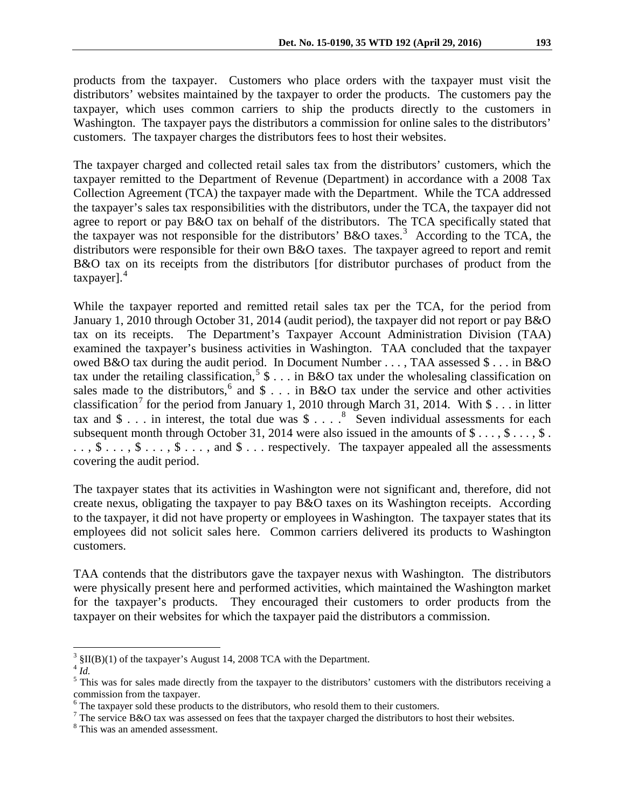products from the taxpayer. Customers who place orders with the taxpayer must visit the distributors' websites maintained by the taxpayer to order the products. The customers pay the taxpayer, which uses common carriers to ship the products directly to the customers in Washington. The taxpayer pays the distributors a commission for online sales to the distributors' customers. The taxpayer charges the distributors fees to host their websites.

The taxpayer charged and collected retail sales tax from the distributors' customers, which the taxpayer remitted to the Department of Revenue (Department) in accordance with a 2008 Tax Collection Agreement (TCA) the taxpayer made with the Department. While the TCA addressed the taxpayer's sales tax responsibilities with the distributors, under the TCA, the taxpayer did not agree to report or pay B&O tax on behalf of the distributors. The TCA specifically stated that the taxpayer was not responsible for the distributors' B&O taxes.<sup>[3](#page-1-0)</sup> According to the TCA, the distributors were responsible for their own B&O taxes. The taxpayer agreed to report and remit B&O tax on its receipts from the distributors [for distributor purchases of product from the taxpayer]. [4](#page-1-1)

While the taxpayer reported and remitted retail sales tax per the TCA, for the period from January 1, 2010 through October 31, 2014 (audit period), the taxpayer did not report or pay B&O tax on its receipts. The Department's Taxpayer Account Administration Division (TAA) examined the taxpayer's business activities in Washington. TAA concluded that the taxpayer owed B&O tax during the audit period. In Document Number . . . , TAA assessed \$ . . . in B&O tax under the retailing classification,<sup>[5](#page-1-2)</sup> \$ . . . in B&O tax under the wholesaling classification on sales made to the distributors,<sup>[6](#page-1-3)</sup> and  $\frac{1}{2}$ ... in B&O tax under the service and other activities classification<sup>[7](#page-1-4)</sup> for the period from January 1, 2010 through March 31, 2014. With  $\frac{1}{3}$ ... in litter tax and  $\$\ldots$  in interest, the total due was  $\$\ldots$   $\degree$  Seven individual assessments for each subsequent month through October 31, 2014 were also issued in the amounts of  $\$\ldots, \$\ldots, \$\ldots, \$ .  $\ldots$ ,  $\text{\$}\ldots$ ,  $\text{\$}\ldots$ ,  $\text{\$}\ldots$ , and  $\text{\$}\ldots$  respectively. The taxpayer appealed all the assessments covering the audit period.

The taxpayer states that its activities in Washington were not significant and, therefore, did not create nexus, obligating the taxpayer to pay B&O taxes on its Washington receipts. According to the taxpayer, it did not have property or employees in Washington. The taxpayer states that its employees did not solicit sales here. Common carriers delivered its products to Washington customers.

TAA contends that the distributors gave the taxpayer nexus with Washington. The distributors were physically present here and performed activities, which maintained the Washington market for the taxpayer's products. They encouraged their customers to order products from the taxpayer on their websites for which the taxpayer paid the distributors a commission.

 $3 \text{ }\frac{\text{S}}{\text{N}}$  SII(B)(1) of the taxpayer's August 14, 2008 TCA with the Department.

<span id="page-1-1"></span><span id="page-1-0"></span><sup>4</sup> *Id.*

<span id="page-1-2"></span> $<sup>5</sup>$  This was for sales made directly from the taxpayer to the distributors' customers with the distributors receiving a</sup> commission from the taxpayer.<br><sup>6</sup> The taxpayer sold these products to the distributors, who resold them to their customers.

<span id="page-1-3"></span>

<span id="page-1-4"></span><sup>&</sup>lt;sup>7</sup> The service B&O tax was assessed on fees that the taxpayer charged the distributors to host their websites.

<span id="page-1-5"></span><sup>8</sup> This was an amended assessment.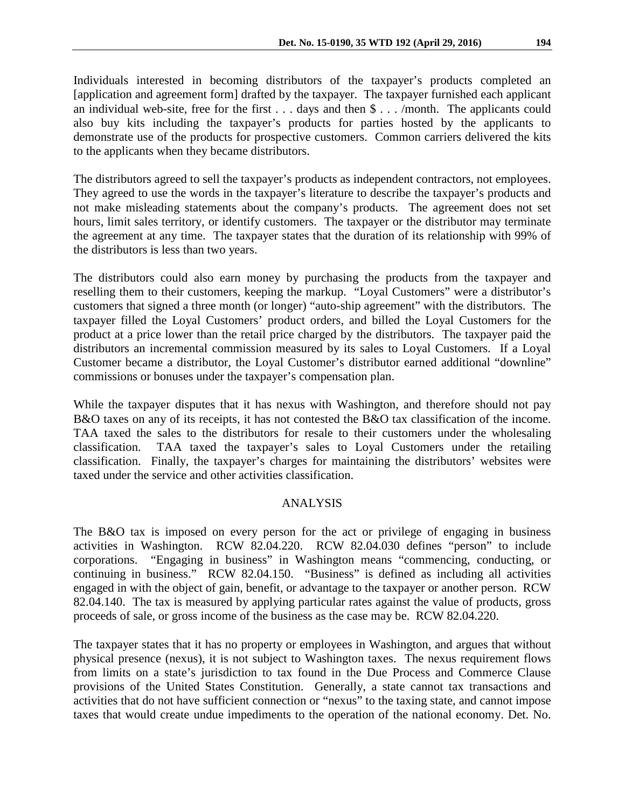Individuals interested in becoming distributors of the taxpayer's products completed an [application and agreement form] drafted by the taxpayer. The taxpayer furnished each applicant an individual web-site, free for the first  $\dots$  days and then  $\frac{1}{2} \dots$  /month. The applicants could also buy kits including the taxpayer's products for parties hosted by the applicants to demonstrate use of the products for prospective customers. Common carriers delivered the kits to the applicants when they became distributors.

The distributors agreed to sell the taxpayer's products as independent contractors, not employees. They agreed to use the words in the taxpayer's literature to describe the taxpayer's products and not make misleading statements about the company's products. The agreement does not set hours, limit sales territory, or identify customers. The taxpayer or the distributor may terminate the agreement at any time. The taxpayer states that the duration of its relationship with 99% of the distributors is less than two years.

The distributors could also earn money by purchasing the products from the taxpayer and reselling them to their customers, keeping the markup. "Loyal Customers" were a distributor's customers that signed a three month (or longer) "auto-ship agreement" with the distributors. The taxpayer filled the Loyal Customers' product orders, and billed the Loyal Customers for the product at a price lower than the retail price charged by the distributors. The taxpayer paid the distributors an incremental commission measured by its sales to Loyal Customers. If a Loyal Customer became a distributor, the Loyal Customer's distributor earned additional "downline" commissions or bonuses under the taxpayer's compensation plan.

While the taxpayer disputes that it has nexus with Washington, and therefore should not pay B&O taxes on any of its receipts, it has not contested the B&O tax classification of the income. TAA taxed the sales to the distributors for resale to their customers under the wholesaling classification. TAA taxed the taxpayer's sales to Loyal Customers under the retailing classification. Finally, the taxpayer's charges for maintaining the distributors' websites were taxed under the service and other activities classification.

### ANALYSIS

The B&O tax is imposed on every person for the act or privilege of engaging in business activities in Washington. RCW 82.04.220. RCW 82.04.030 defines "person" to include corporations. "Engaging in business" in Washington means "commencing, conducting, or continuing in business." RCW 82.04.150. "Business" is defined as including all activities engaged in with the object of gain, benefit, or advantage to the taxpayer or another person. RCW 82.04.140. The tax is measured by applying particular rates against the value of products, gross proceeds of sale, or gross income of the business as the case may be. RCW 82.04.220.

The taxpayer states that it has no property or employees in Washington, and argues that without physical presence (nexus), it is not subject to Washington taxes. The nexus requirement flows from limits on a state's jurisdiction to tax found in the Due Process and Commerce Clause provisions of the United States Constitution. Generally, a state cannot tax transactions and activities that do not have sufficient connection or "nexus" to the taxing state, and cannot impose taxes that would create undue impediments to the operation of the national economy. Det. No.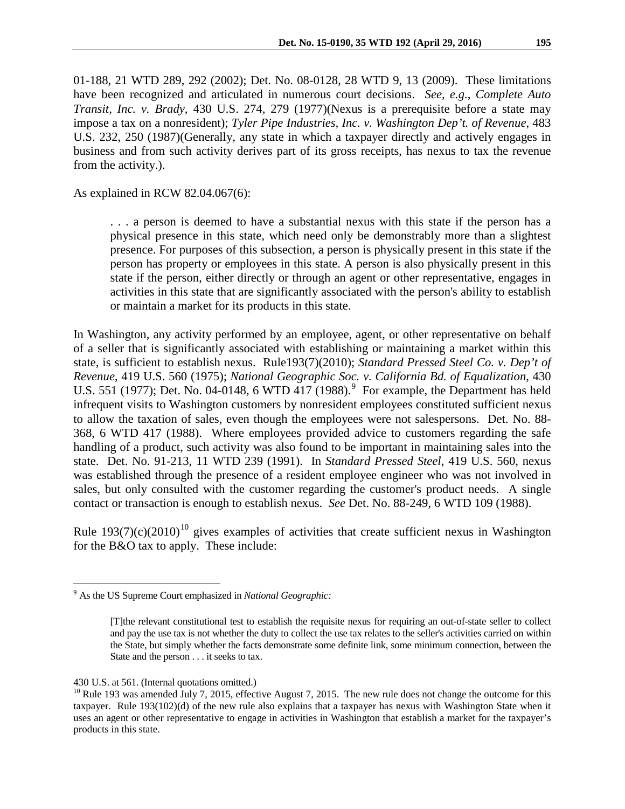01-188, 21 WTD 289, 292 (2002); Det. No. 08-0128, 28 WTD 9, 13 (2009). These limitations have been recognized and articulated in numerous court decisions. *See, e.g.*, *Complete Auto Transit, Inc. v. Brady*, 430 U.S. 274, 279 (1977)(Nexus is a prerequisite before a state may impose a tax on a nonresident); *Tyler Pipe Industries, Inc. v. Washington Dep't. of Revenue*, 483 U.S. 232, 250 (1987)(Generally, any state in which a taxpayer directly and actively engages in business and from such activity derives part of its gross receipts, has nexus to tax the revenue from the activity.).

As explained in RCW 82.04.067(6):

. . . a person is deemed to have a substantial nexus with this state if the person has a physical presence in this state, which need only be demonstrably more than a slightest presence. For purposes of this subsection, a person is physically present in this state if the person has property or employees in this state. A person is also physically present in this state if the person, either directly or through an agent or other representative, engages in activities in this state that are significantly associated with the person's ability to establish or maintain a market for its products in this state.

In Washington, any activity performed by an employee, agent, or other representative on behalf of a seller that is significantly associated with establishing or maintaining a market within this state, is sufficient to establish nexus. Rule193(7)(2010); *Standard Pressed Steel Co. v. Dep't of Revenue*, 419 U.S. 560 (1975); *National Geographic Soc. v. California Bd. of Equalization*, 430 U.S. 551 (1[9](#page-3-0)77); Det. No. 04-0148, 6 WTD  $417$  (1988).<sup>9</sup> For example, the Department has held infrequent visits to Washington customers by nonresident employees constituted sufficient nexus to allow the taxation of sales, even though the employees were not salespersons. Det. No. 88- 368, 6 WTD 417 (1988). Where employees provided advice to customers regarding the safe handling of a product, such activity was also found to be important in maintaining sales into the state. Det. No. 91-213, 11 WTD 239 (1991). In *Standard Pressed Steel*, 419 U.S. 560, nexus was established through the presence of a resident employee engineer who was not involved in sales, but only consulted with the customer regarding the customer's product needs. A single contact or transaction is enough to establish nexus. *See* Det. No. 88-249, 6 WTD 109 (1988).

Rule  $193(7)(c)(2010)^{10}$  $193(7)(c)(2010)^{10}$  $193(7)(c)(2010)^{10}$  gives examples of activities that create sufficient nexus in Washington for the B&O tax to apply. These include:

<span id="page-3-0"></span> <sup>9</sup> As the US Supreme Court emphasized in *National Geographic:*

<sup>[</sup>T]the relevant constitutional test to establish the requisite nexus for requiring an out-of-state seller to collect and pay the use tax is not whether the duty to collect the use tax relates to the seller's activities carried on within the State, but simply whether the facts demonstrate some definite link, some minimum connection, between the State and the person . . . it seeks to tax.

<span id="page-3-1"></span><sup>430</sup> U.S. at 561. (Internal quotations omitted.)<br><sup>10</sup> Rule 193 was amended July 7, 2015, effective August 7, 2015. The new rule does not change the outcome for this taxpayer. Rule 193(102)(d) of the new rule also explains that a taxpayer has nexus with Washington State when it uses an agent or other representative to engage in activities in Washington that establish a market for the taxpayer's products in this state.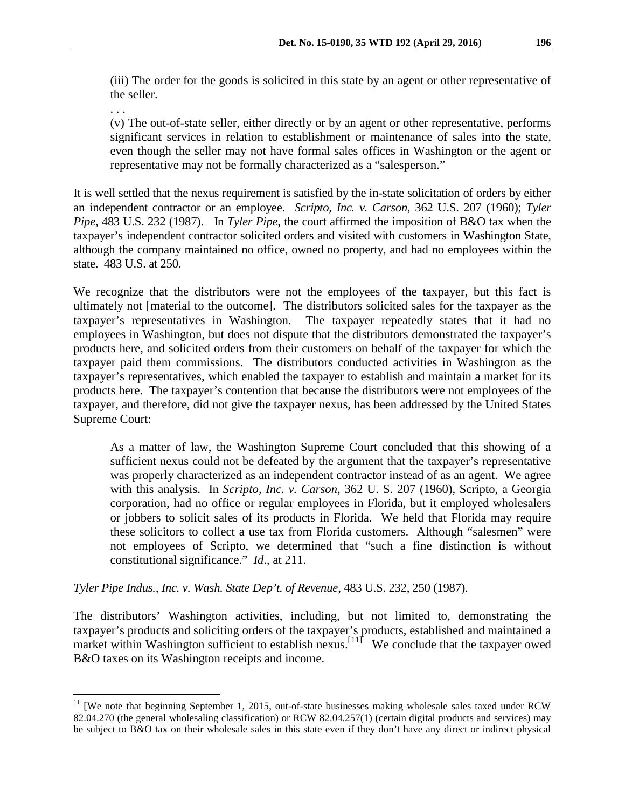(iii) The order for the goods is solicited in this state by an agent or other representative of the seller.

. . .

(v) The out-of-state seller, either directly or by an agent or other representative, performs significant services in relation to establishment or maintenance of sales into the state, even though the seller may not have formal sales offices in Washington or the agent or representative may not be formally characterized as a "salesperson."

It is well settled that the nexus requirement is satisfied by the in-state solicitation of orders by either an independent contractor or an employee. *Scripto, Inc. v. Carson*, 362 U.S. 207 (1960); *Tyler Pipe*, 483 U.S. 232 (1987). In *Tyler Pipe*, the court affirmed the imposition of B&O tax when the taxpayer's independent contractor solicited orders and visited with customers in Washington State, although the company maintained no office, owned no property, and had no employees within the state. 483 U.S. at 250.

We recognize that the distributors were not the employees of the taxpayer, but this fact is ultimately not [material to the outcome]. The distributors solicited sales for the taxpayer as the taxpayer's representatives in Washington. The taxpayer repeatedly states that it had no employees in Washington, but does not dispute that the distributors demonstrated the taxpayer's products here, and solicited orders from their customers on behalf of the taxpayer for which the taxpayer paid them commissions. The distributors conducted activities in Washington as the taxpayer's representatives, which enabled the taxpayer to establish and maintain a market for its products here. The taxpayer's contention that because the distributors were not employees of the taxpayer, and therefore, did not give the taxpayer nexus, has been addressed by the United States Supreme Court:

As a matter of law, the Washington Supreme Court concluded that this showing of a sufficient nexus could not be defeated by the argument that the taxpayer's representative was properly characterized as an independent contractor instead of as an agent. We agree with this analysis. In *Scripto, Inc. v. Carson*, 362 U. S. 207 (1960), Scripto, a Georgia corporation, had no office or regular employees in Florida, but it employed wholesalers or jobbers to solicit sales of its products in Florida. We held that Florida may require these solicitors to collect a use tax from Florida customers. Although "salesmen" were not employees of Scripto, we determined that "such a fine distinction is without constitutional significance." *Id*., at 211.

*Tyler Pipe Indus., Inc. v. Wash. State Dep't. of Revenue*, 483 U.S. 232, 250 (1987).

The distributors' Washington activities, including, but not limited to, demonstrating the taxpayer's products and soliciting orders of the taxpayer's products, established and maintained a market within Washington sufficient to establish nexus.<sup>[[11](#page-4-0)]</sup> We conclude that the taxpayer owed B&O taxes on its Washington receipts and income.

<span id="page-4-0"></span><sup>&</sup>lt;sup>11</sup> [We note that beginning September 1, 2015, out-of-state businesses making wholesale sales taxed under RCW 82.04.270 (the general wholesaling classification) or RCW 82.04.257(1) (certain digital products and services) may be subject to B&O tax on their wholesale sales in this state even if they don't have any direct or indirect physical